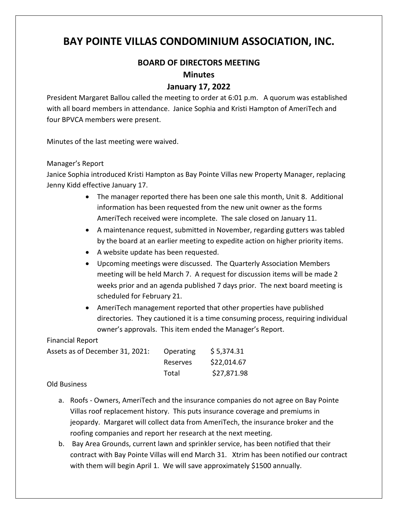# **BAY POINTE VILLAS CONDOMINIUM ASSOCIATION, INC.**

## **BOARD OF DIRECTORS MEETING**

#### **Minutes**

### **January 17, 2022**

President Margaret Ballou called the meeting to order at 6:01 p.m. A quorum was established with all board members in attendance. Janice Sophia and Kristi Hampton of AmeriTech and four BPVCA members were present.

Minutes of the last meeting were waived.

#### Manager's Report

Janice Sophia introduced Kristi Hampton as Bay Pointe Villas new Property Manager, replacing Jenny Kidd effective January 17.

- The manager reported there has been one sale this month, Unit 8. Additional information has been requested from the new unit owner as the forms AmeriTech received were incomplete. The sale closed on January 11.
- A maintenance request, submitted in November, regarding gutters was tabled by the board at an earlier meeting to expedite action on higher priority items.
- A website update has been requested.
- Upcoming meetings were discussed. The Quarterly Association Members meeting will be held March 7. A request for discussion items will be made 2 weeks prior and an agenda published 7 days prior. The next board meeting is scheduled for February 21.
- AmeriTech management reported that other properties have published directories. They cautioned it is a time consuming process, requiring individual owner's approvals. This item ended the Manager's Report.

#### Financial Report

| Assets as of December 31, 2021: | <b>Operating</b> | \$5,374.31  |
|---------------------------------|------------------|-------------|
|                                 | Reserves         | \$22,014.67 |
|                                 | Total            | \$27,871.98 |

#### Old Business

- a. Roofs Owners, AmeriTech and the insurance companies do not agree on Bay Pointe Villas roof replacement history. This puts insurance coverage and premiums in jeopardy. Margaret will collect data from AmeriTech, the insurance broker and the roofing companies and report her research at the next meeting.
- b. Bay Area Grounds, current lawn and sprinkler service, has been notified that their contract with Bay Pointe Villas will end March 31. Xtrim has been notified our contract with them will begin April 1. We will save approximately \$1500 annually.